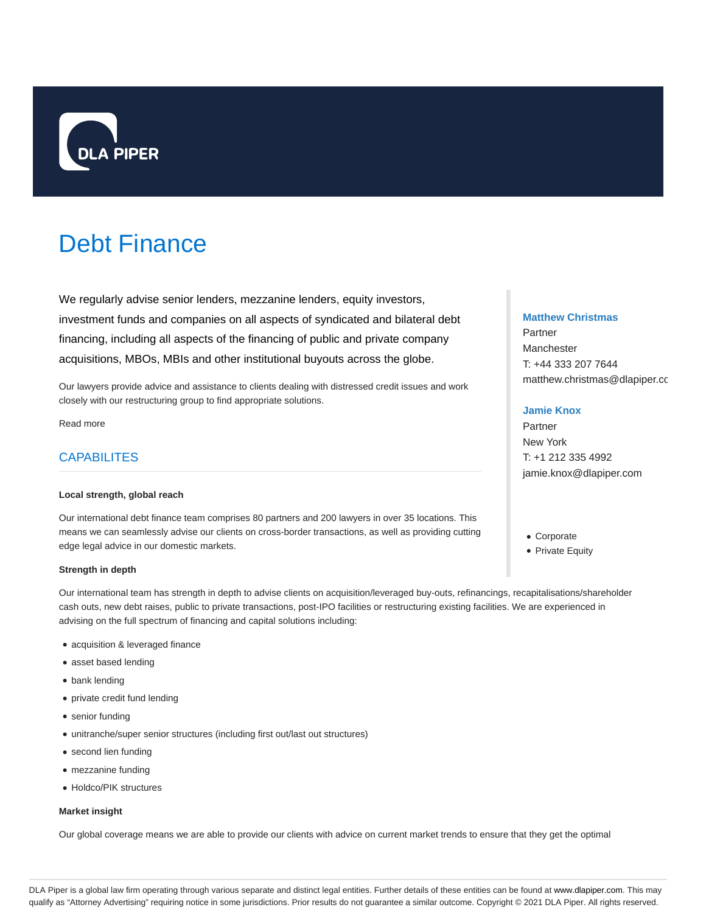

# Debt Finance

We regularly advise senior lenders, mezzanine lenders, equity investors, investment funds and companies on all aspects of syndicated and bilateral debt financing, including all aspects of the financing of public and private company acquisitions, MBOs, MBIs and other institutional buyouts across the globe.

Our lawyers provide advice and assistance to clients dealing with distressed credit issues and work closely with our restructuring group to find appropriate solutions.

Read more

# **CAPABILITES**

#### **Local strength, global reach**

Our international debt finance team comprises 80 partners and 200 lawyers in over 35 locations. This means we can seamlessly advise our clients on cross-border transactions, as well as providing cutting edge legal advice in our domestic markets.

## **Strength in depth**

Our international team has strength in depth to advise clients on acquisition/leveraged buy-outs, refinancings, recapitalisations/shareholder cash outs, new debt raises, public to private transactions, post-IPO facilities or restructuring existing facilities. We are experienced in advising on the full spectrum of financing and capital solutions including:

- acquisition & leveraged finance
- asset based lending
- bank lending
- private credit fund lending
- senior funding
- unitranche/super senior structures (including first out/last out structures)
- second lien funding
- mezzanine funding
- Holdco/PIK structures

#### **Market insight**

Our global coverage means we are able to provide our clients with advice on current market trends to ensure that they get the optimal

## **Matthew Christmas**

Partner Manchester T: +44 333 207 7644 matthew.christmas@dlapiper.co

## **Jamie Knox**

Partner New York T: +1 212 335 4992 jamie.knox@dlapiper.com

- Corporate
- Private Equity

DLA Piper is a global law firm operating through various separate and distinct legal entities. Further details of these entities can be found at www.dlapiper.com. This may qualify as "Attorney Advertising" requiring notice in some jurisdictions. Prior results do not guarantee a similar outcome. Copyright @ 2021 DLA Piper. All rights reserved.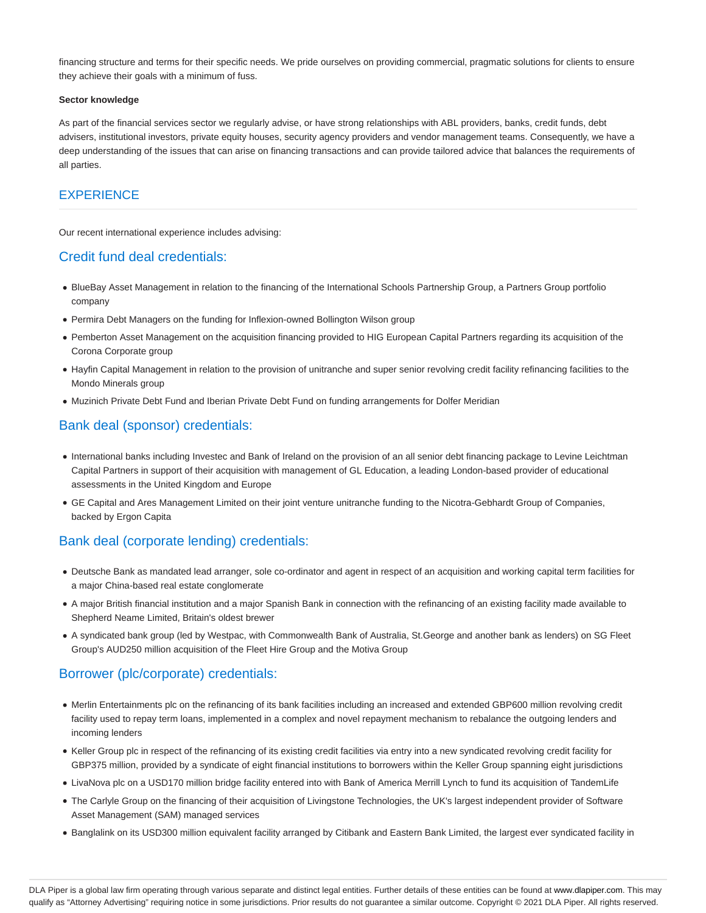financing structure and terms for their specific needs. We pride ourselves on providing commercial, pragmatic solutions for clients to ensure they achieve their goals with a minimum of fuss.

#### **Sector knowledge**

As part of the financial services sector we regularly advise, or have strong relationships with ABL providers, banks, credit funds, debt advisers, institutional investors, private equity houses, security agency providers and vendor management teams. Consequently, we have a deep understanding of the issues that can arise on financing transactions and can provide tailored advice that balances the requirements of all parties.

## **EXPERIENCE**

Our recent international experience includes advising:

## Credit fund deal credentials:

- BlueBay Asset Management in relation to the financing of the International Schools Partnership Group, a Partners Group portfolio company
- Permira Debt Managers on the funding for Inflexion-owned Bollington Wilson group
- Pemberton Asset Management on the acquisition financing provided to HIG European Capital Partners regarding its acquisition of the Corona Corporate group
- Hayfin Capital Management in relation to the provision of unitranche and super senior revolving credit facility refinancing facilities to the Mondo Minerals group
- Muzinich Private Debt Fund and Iberian Private Debt Fund on funding arrangements for Dolfer Meridian

# Bank deal (sponsor) credentials:

- International banks including Investec and Bank of Ireland on the provision of an all senior debt financing package to Levine Leichtman Capital Partners in support of their acquisition with management of GL Education, a leading London-based provider of educational assessments in the United Kingdom and Europe
- GE Capital and Ares Management Limited on their joint venture unitranche funding to the Nicotra-Gebhardt Group of Companies, backed by Ergon Capita

# Bank deal (corporate lending) credentials:

- Deutsche Bank as mandated lead arranger, sole co-ordinator and agent in respect of an acquisition and working capital term facilities for a major China-based real estate conglomerate
- A major British financial institution and a major Spanish Bank in connection with the refinancing of an existing facility made available to Shepherd Neame Limited, Britain's oldest brewer
- A syndicated bank group (led by Westpac, with Commonwealth Bank of Australia, St.George and another bank as lenders) on SG Fleet Group's AUD250 million acquisition of the Fleet Hire Group and the Motiva Group

# Borrower (plc/corporate) credentials:

- Merlin Entertainments plc on the refinancing of its bank facilities including an increased and extended GBP600 million revolving credit facility used to repay term loans, implemented in a complex and novel repayment mechanism to rebalance the outgoing lenders and incoming lenders
- Keller Group plc in respect of the refinancing of its existing credit facilities via entry into a new syndicated revolving credit facility for GBP375 million, provided by a syndicate of eight financial institutions to borrowers within the Keller Group spanning eight jurisdictions
- LivaNova plc on a USD170 million bridge facility entered into with Bank of America Merrill Lynch to fund its acquisition of TandemLife
- The Carlyle Group on the financing of their acquisition of Livingstone Technologies, the UK's largest independent provider of Software Asset Management (SAM) managed services
- Banglalink on its USD300 million equivalent facility arranged by Citibank and Eastern Bank Limited, the largest ever syndicated facility in

DLA Piper is a global law firm operating through various separate and distinct legal entities. Further details of these entities can be found at www.dlapiper.com. This may qualify as "Attorney Advertising" requiring notice in some jurisdictions. Prior results do not guarantee a similar outcome. Copyright @ 2021 DLA Piper. All rights reserved.